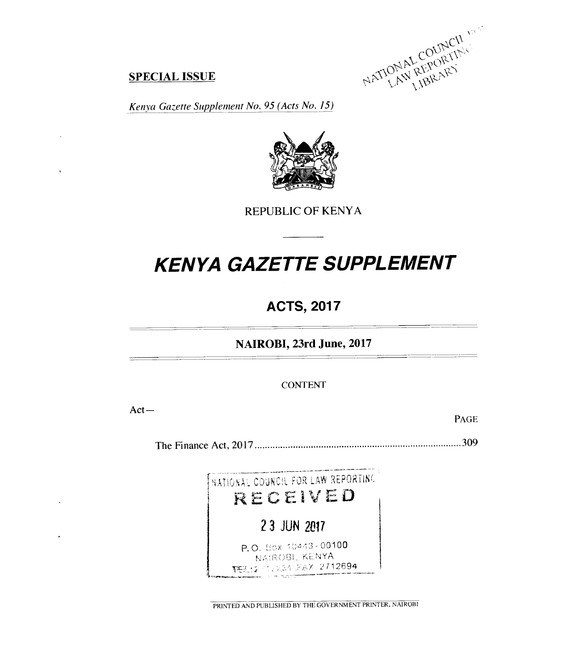EPORT<br>CO<sub>OT</sub>  $C_{\ell}$ 

#### **SPECIAL ISSUE**

*Kenya Gazette Supplement No. 95 (Acts No. 15)* 



REPUBLIC OF KENYA

# *KENYA GAZETTE SUPPLEMENT*

## **ACTS, 2017**

**NAIROBI, 23rd June, 2017** 

CONTENT

Act—

 $\overline{\phantom{a}}$ 

PAGE

The Finance Act, 2017 309



PRINTED AND PUBLISHED BY THE GOVERNMENT PRINTER, NAIROBI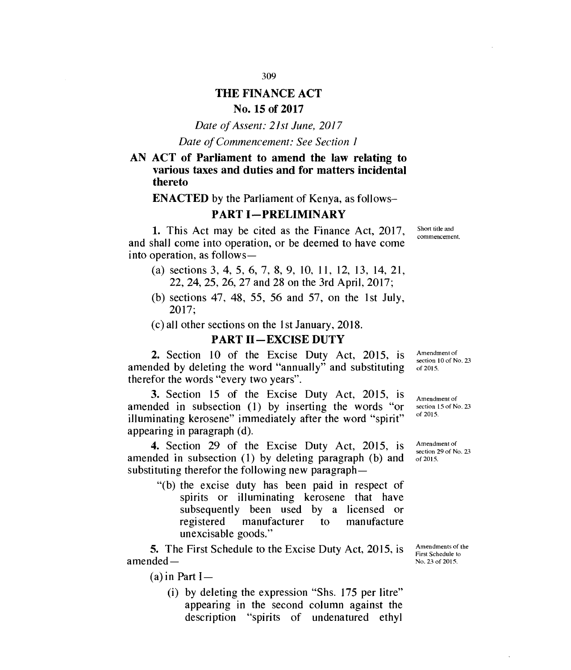### **THE FINANCE ACT No. 15 of 2017**

*Date of Assent: 21st June, 2017* 

*Date of Commencement: See Section 1* 

#### **AN ACT of Parliament to amend the law relating to various taxes and duties and for matters incidental thereto**

**ENACTED** by the Parliament of Kenya, as follows—

#### **PART I—PRELIMINARY**

**1.** This Act may be cited as the Finance Act, 2017, and shall come into operation, or be deemed to have come into operation, as follows—

- (a) sections 3, 4, 5, 6, 7, 8, 9, 10, 11, 12, 13, 14, 21, 22, 24, 25, 26, 27 and 28 on the 3rd April, 2017;
- (b) sections 47, 48, 55, 56 and 57, on the 1st July, 2017;
- (c) all other sections on the 1st January, 2018.

#### **PART II—EXCISE DUTY**

**2.** Section 10 of the Excise Duty Act, 2015, is amended by deleting the word "annually" and substituting therefor the words "every two years".

**3.** Section 15 of the Excise Duty Act, 2015, is amended in subsection (1) by inserting the words "or illuminating kerosene" immediately after the word "spirit" appearing in paragraph (d).

**4.** Section 29 of the Excise Duty Act, 2015, is amended in subsection (1) by deleting paragraph (b) and substituting therefor the following new paragraph —

> "(b) the excise duty has been paid in respect of spirits or illuminating kerosene that have subsequently been used by a licensed or registered manufacturer to manufacture unexcisable goods."

**5.** The First Schedule to the Excise Duty Act, 2015, is amended —

 $(a)$  in Part I-

(i) by deleting the expression "Shs. 175 per litre" appearing in the second column against the description "spirits of undenatured ethyl Amendments of the First Schedule to No. 23 of 2015.

Amendment of section 10 of No. 23 of 2015.

Amendment of section 15 of No. 23 of 2015.

Amendment of section 29 of No. 23 of 2015.

Short title and commencement.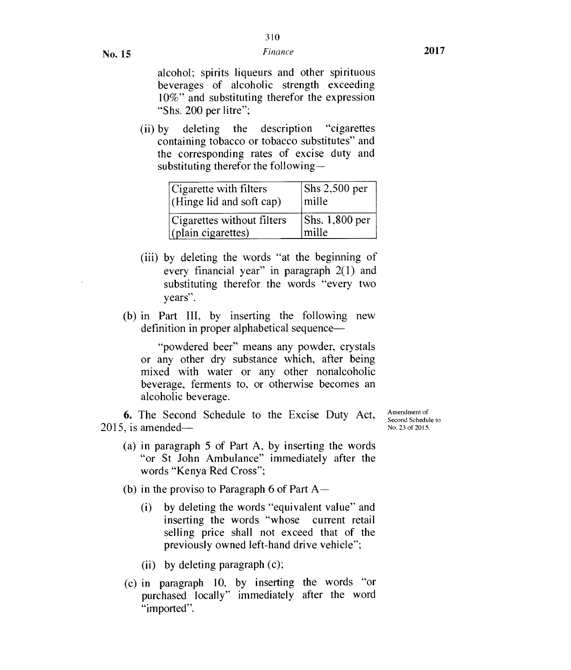alcohol; spirits liqueurs and other spirituous beverages of alcoholic strength exceeding 10%" and substituting therefor the expression "Shs. 200 per litre";

(ii) by deleting the description "cigarettes containing tobacco or tobacco substitutes" and the corresponding rates of excise duty and substituting therefor the following—

| Cigarette with filters     | $\vert$ Shs 2,500 per  |
|----------------------------|------------------------|
| (Hinge lid and soft cap)   | mille                  |
| Cigarettes without filters | $\vert$ Shs. 1,800 per |
| $\int$ (plain cigarettes)  | mille                  |

- (iii) by deleting the words "at the beginning of every financial year" in paragraph 2(1) and substituting therefor the words "every two years".
- (b) in Part III, by inserting the following new definition in proper alphabetical sequence—

"powdered beer" means any powder, crystals or any other dry substance which, after being mixed with water or any other nonalcoholic beverage, ferments to, or otherwise becomes an alcoholic beverage.

**6.** The Second Schedule to the Excise Duty Act, 2015, is amended—

- Amendment of Second Schedule to No. 23 of 2015.
- (a) in paragraph 5 of Part A, by inserting the words "or St John Ambulance" immediately after the words "Kenya Red Cross";
- (b) in the proviso to Paragraph 6 of Part  $A -$ 
	- (i) by deleting the words "equivalent value" and inserting the words "whose current retail selling price shall not exceed that of the previously owned left-hand drive vehicle";
	- (ii) by deleting paragraph (c);
- (c) in paragraph 10, by inserting the words "or purchased locally" immediately after the word "imported".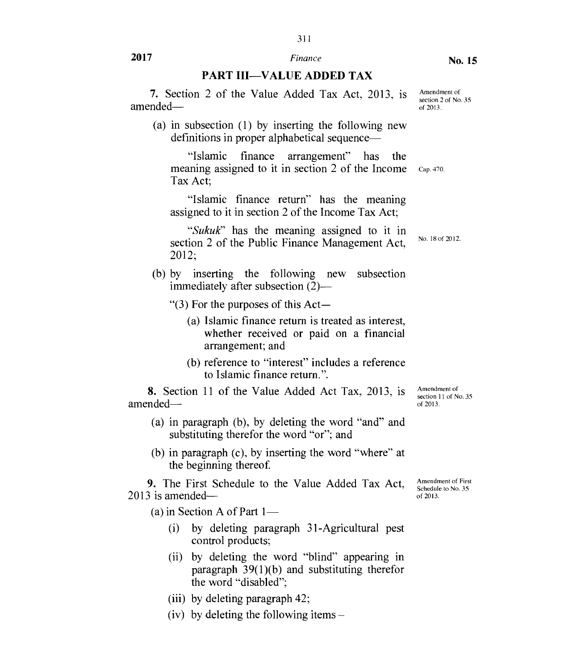# 311

**2017** *Finance* 

#### **PART III—VALUE ADDED TAX**

**7.** Section 2 of the Value Added Tax Act, 2013, is amended—

(a) in subsection (1) by inserting the following new definitions in proper alphabetical sequence—

"Islamic finance arrangement" has the meaning assigned to it in section 2 of the Income Tax Act; Cap. 470.

"Islamic finance return" has the meaning assigned to it in section 2 of the Income Tax Act;

*"Sukuk"* has the meaning assigned to it in section 2 of the Public Finance Management Act, 2012;

(b) by inserting the following new subsection immediately after subsection  $(2)$ —

"(3) For the purposes of this Act—

- (a) Islamic finance return is treated as interest, whether received or paid on a financial arrangement; and
- (b) reference to "interest" includes a reference to Islamic finance return.".

**8.** Section 11 of the Value Added Act Tax, 2013, is amended—

- (a) in paragraph (b), by deleting the word "and" and substituting therefor the word "or"; and
- (b) in paragraph (c), by inserting the word "where" at the beginning thereof.

**9.** The First Schedule to the Value Added Tax Act, 2013 is amended—

(a) in Section A of Part  $1-$ 

- (i) by deleting paragraph 31-Agricultural pest control products;
- (ii) by deleting the word "blind" appearing in paragraph 39(1)(b) and substituting therefor the word "disabled";
- (iii) by deleting paragraph 42;
- (iv) by deleting the following items –

Amendment of section 11 of No. 35 of 2013.

Amendment of First Schedule to No. 35 of 2013.

No. 18 of 2012.

Amendment of

section 2 of No. 35 of 2013.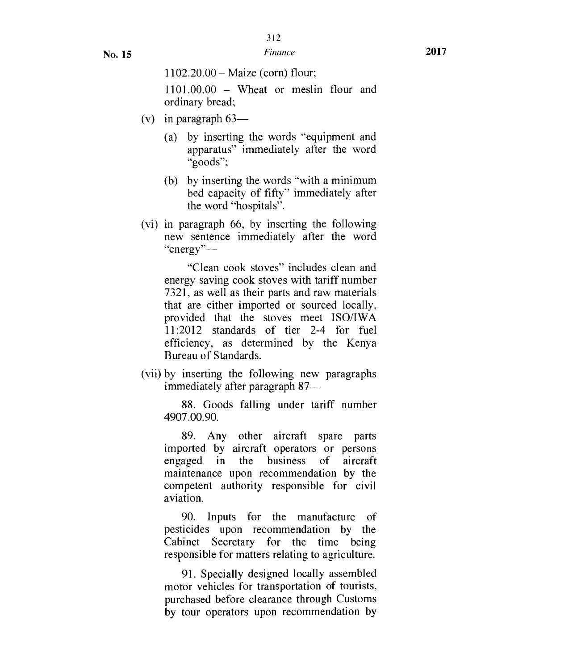1101.00.00 – Wheat or meslin flour and ordinary bread;

- (v) in paragraph  $63-$ 
	- (a) by inserting the words "equipment and apparatus" immediately after the word "goods";
	- (b) by inserting the words "with a minimum bed capacity of fifty" immediately after the word "hospitals".
- (vi) in paragraph 66, by inserting the following new sentence immediately after the word "energy"—

"Clean cook stoves" includes clean and energy saving cook stoves with tariff number 7321, as well as their parts and raw materials that are either imported or sourced locally, provided that the stoves meet ISO/IWA 11:2012 standards of tier 2-4 for fuel efficiency, as determined by the Kenya Bureau of Standards.

(vii) by inserting the following new paragraphs immediately after paragraph 87—

88. Goods falling under tariff number 4907.00.90.

89. Any other aircraft spare parts imported by aircraft operators or persons engaged in the business of aircraft maintenance upon recommendation by the competent authority responsible for civil aviation.

90. Inputs for the manufacture of pesticides upon recommendation by the Cabinet Secretary for the time being responsible for matters relating to agriculture.

91. Specially designed locally assembled motor vehicles for transportation of tourists, purchased before clearance through Customs by tour operators upon recommendation by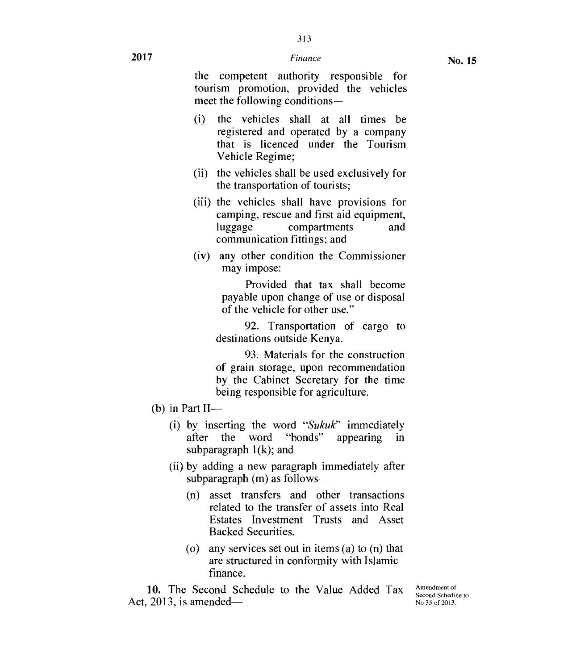- (i) the vehicles shall at all times be registered and operated by a company that is licenced under the Tourism Vehicle Regime;
- (ii) the vehicles shall be used exclusively for the transportation of tourists;
- (iii) the vehicles shall have provisions for camping, rescue and first aid equipment, luggage compartments and communication fittings; and
- (iv) any other condition the Commissioner may impose:

Provided that tax shall become payable upon change of use or disposal of the vehicle for other use."

92. Transportation of cargo to destinations outside Kenya.

93. Materials for the construction of grain storage, upon recommendation by the Cabinet Secretary for the time being responsible for agriculture.

- $(b)$  in Part II-
	- (i) by inserting the word *"Sukuk"* immediately after the word "bonds" appearing in subparagraph  $1(k)$ ; and
	- (ii) by adding a new paragraph immediately after subparagraph (m) as follows—
		- (n) asset transfers and other transactions related to the transfer of assets into Real Estates Investment Trusts and Asset Backed Securities.
		- (o) any services set out in items (a) to (n) that are structured in conformity with Islamic finance.

10. The Second Schedule to the Value Added Tax Act, 2013, is amendedAmendment of Second Schedule to No 35 of 2013.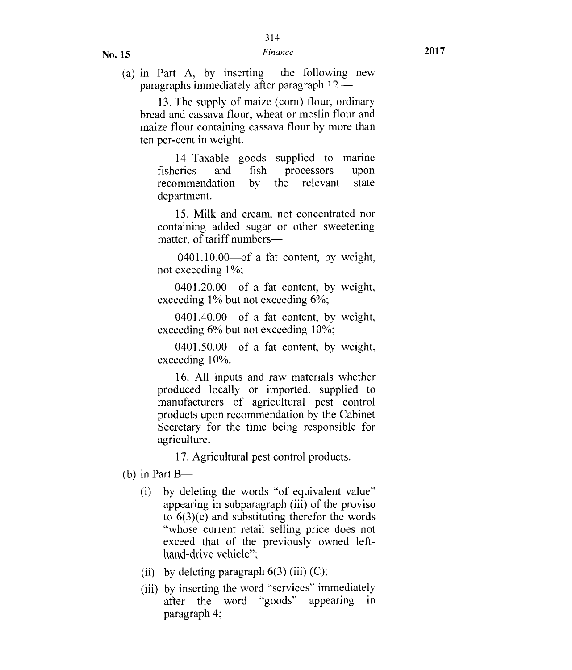(a) in Part A, by inserting the following new paragraphs immediately after paragraph 12 —

13. The supply of maize (corn) flour, ordinary bread and cassava flour, wheat or meslin flour and maize flour containing cassava flour by more than ten per-cent in weight.

14 Taxable goods supplied to marine fisheries and fish processors upon recommendation by the relevant state department.

15. Milk and cream, not concentrated nor containing added sugar or other sweetening matter, of tariff numbers-

0401.10.00—of a fat content, by weight, not exceeding 1%;

0401.20.00—of a fat content, by weight, exceeding 1% but not exceeding 6%;

0401.40.00—of a fat content, by weight, exceeding 6% but not exceeding 10%;

0401.50.00—of a fat content, by weight, exceeding 10%.

16. All inputs and raw materials whether produced locally or imported, supplied to manufacturers of agricultural pest control products upon recommendation by the Cabinet Secretary for the time being responsible for agriculture.

17. Agricultural pest control products.

- (b) in Part  $B$ 
	- (i) by deleting the words "of equivalent value" appearing in subparagraph (iii) of the proviso to 6(3)(c) and substituting therefor the words "whose current retail selling price does not exceed that of the previously owned lefthand-drive vehicle":
	- (ii) by deleting paragraph  $6(3)$  (iii) (C);
	- (iii) by inserting the word "services" immediately after the word "goods" appearing in paragraph 4;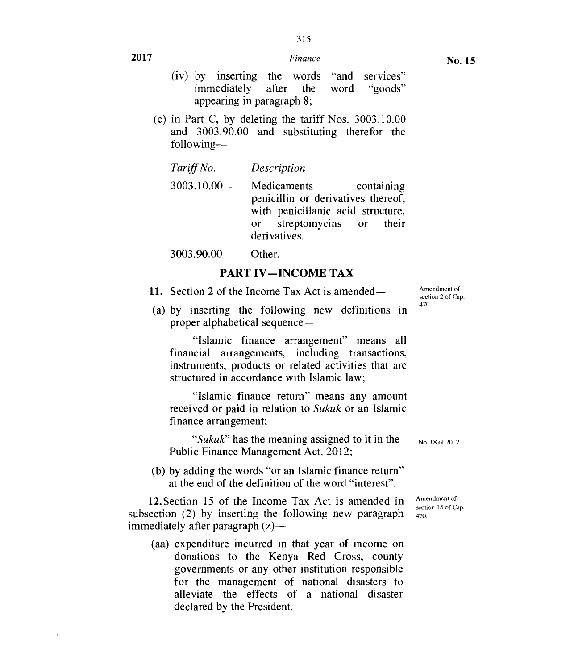# 315

#### **No. 15**

**2017** *Finance* 

- (iv) by inserting the words "and services" immediately after the word "goods" appearing in paragraph 8;
- (c) in Part C, by deleting the tariff Nos. 3003.10.00 and 3003.90.00 and substituting therefor the following—

| Tariff No. | Description |
|------------|-------------|
|------------|-------------|

3003.10.00 - Medicaments containing penicillin or derivatives thereof, with penicillanic acid structure, or streptomycins or their derivatives.

3003.90.00 - Other.

### **PART IV—INCOME TAX**

- **11.** Section 2 of the Income Tax Act is amended—
- (a) by inserting the following new definitions in proper alphabetical sequence—

"Islamic finance arrangement" means all financial arrangements, including transactions, instruments, products or related activities that are structured in accordance with Islamic law;

"Islamic finance return" means any amount received or paid in relation to *Sukuk* or an Islamic finance arrangement;

*"Sukuk"* has the meaning assigned to it in the Public Finance Management Act, 2012;

(b) by adding the words "or an Islamic finance return" at the end of the definition of the word "interest".

12.Section 15 of the Income Tax Act is amended in subsection **(2)** by inserting the following new paragraph immediately after paragraph (z)—

(aa) expenditure incurred in that year of income on donations to the Kenya Red Cross, county governments or any other institution responsible for the management of national disasters to alleviate the effects of a national disaster declared by the President.

Amendment of section 2 of Cap. 470.

No. 18 of 2012.

Amendment of section 15 of Cap. 470.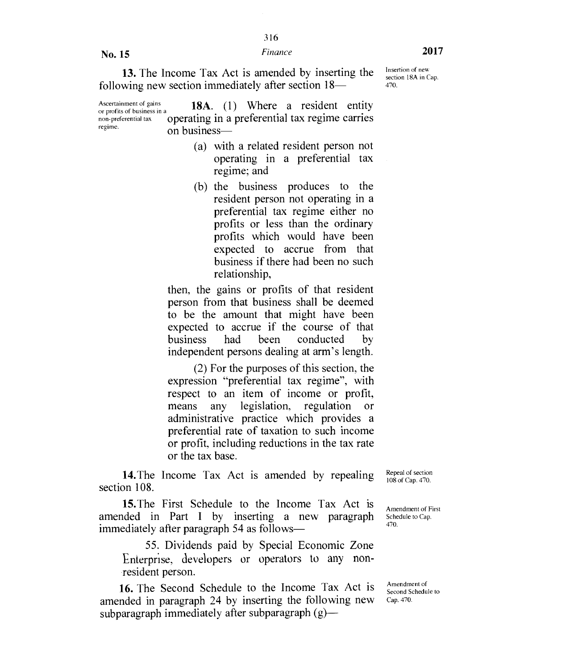316

**No. 15** *Finance* **2017** 

Insertion of new section 18A in Cap.

470.

**13.** The Income Tax Act is amended by inserting the following new section immediately after section 18—

Ascertainment of gains **18A.** (1) Where a resident entity or profits of business in a non-preferential tax operating in a preferential tax regime carries on business-

- (a) with a related resident person not operating in a preferential tax regime; and
- (b) the business produces to the resident person not operating in a preferential tax regime either no profits or less than the ordinary profits which would have been expected to accrue from that business if there had been no such relationship,

then, the gains or profits of that resident person from that business shall be deemed to be the amount that might have been expected to accrue if the course of that business had been conducted by independent persons dealing at arm's length.

(2) For the purposes of this section, the expression "preferential tax regime", with respect to an item of income or profit, means any legislation, regulation or administrative practice which provides a preferential rate of taxation to such income or profit, including reductions in the tax rate or the tax base.

14.The Income Tax Act is amended by repealing section 108.

15.The First Schedule to the Income Tax Act is amended in Part I by inserting a new paragraph immediately after paragraph 54 as follows—

55. Dividends paid by Special Economic Zone Enterprise, developers or operators to any nonresident person.

**16.** The Second Schedule to the Income Tax Act is amended in paragraph 24 by inserting the following new subparagraph immediately after subparagraph (g)—

Repeal of section 108 of Cap. 470.

Amendment of First Schedule to Cap. 470.

Amendment of Second Schedule to Cap. 470.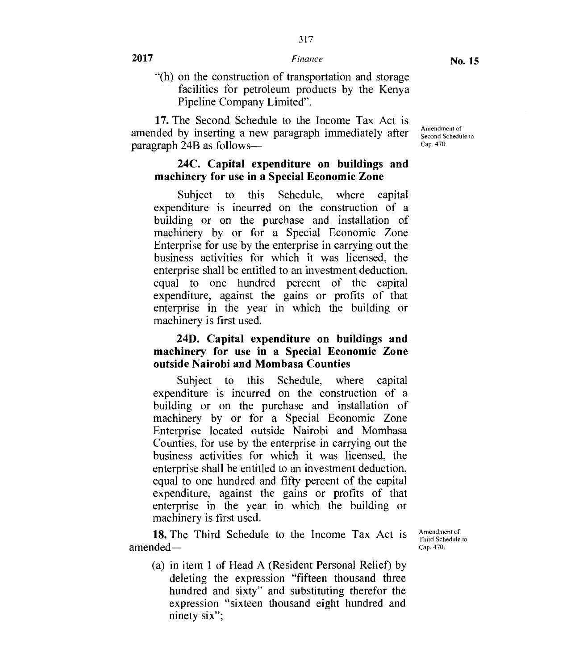"(h) on the construction of transportation and storage facilities for petroleum products by the Kenya Pipeline Company Limited".

17. The Second Schedule to the Income Tax Act is amended by inserting a new paragraph immediately after paragraph 24B as follows-

Amendment of Second Schedule to Cap. 470.

#### **24C. Capital expenditure on buildings and machinery for use in a Special Economic Zone**

Subject to this Schedule, where capital expenditure is incurred on the construction of a building or on the purchase and installation of machinery by or for a Special Economic Zone Enterprise for use by the enterprise in carrying out the business activities for which it was licensed, the enterprise shall be entitled to an investment deduction, equal to one hundred percent of the capital expenditure, against the gains or profits of that enterprise in the year in which the building or machinery is first used.

#### **24D. Capital expenditure on buildings and machinery for use in a Special Economic Zone outside Nairobi and Mombasa Counties**

Subject to this Schedule, where capital expenditure is incurred on the construction of a building or on the purchase and installation of machinery by or for a Special Economic Zone Enterprise located outside Nairobi and Mombasa Counties, for use by the enterprise in carrying out the business activities for which it was licensed, the enterprise shall be entitled to an investment deduction, equal to one hundred and fifty percent of the capital expenditure, against the gains or profits of that enterprise in the year in which the building or machinery is first used.

18. The Third Schedule to the Income Tax Act is amended —

Amendment of Third Schedule to Cap. 470.

(a) in item 1 of Head A (Resident Personal Relief) by deleting the expression "fifteen thousand three hundred and sixty" and substituting therefor the expression "sixteen thousand eight hundred and ninety six";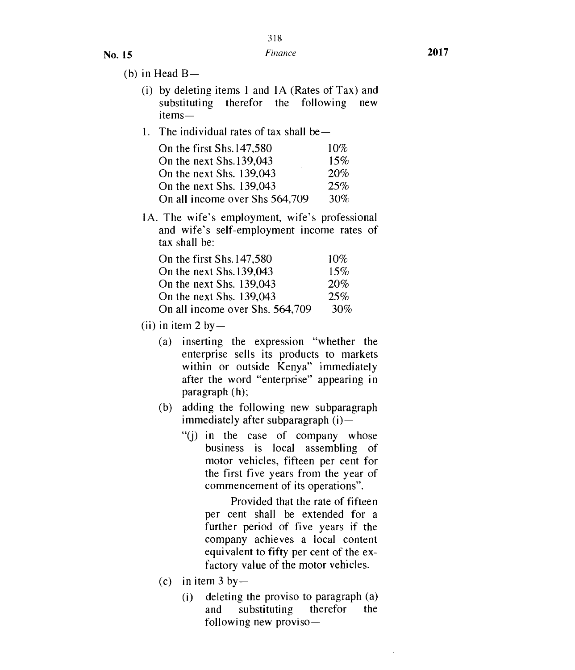- (b) in Head  $B-$ 
	- (i) by deleting items 1 and  $1A$  (Rates of Tax) and substituting therefor the following new items
	- 1. The individual rates of tax shall be—

| On the first Shs. 147,580      | $10\%$ |
|--------------------------------|--------|
| On the next Shs. 139,043       | 15%    |
| On the next Shs. 139,043       | 20%    |
| On the next Shs. 139,043       | 25%    |
| On all income over Shs 564,709 | 30%    |

1A. The wife's employment, wife's professional and wife's self-employment income rates of tax shall be:

| On the first Shs. 147,580       | 10%    |
|---------------------------------|--------|
| On the next Shs. 139,043        | 15%    |
| On the next Shs. 139,043        | 20%    |
| On the next Shs. 139,043        | 25%    |
| On all income over Shs. 564,709 | $30\%$ |

- (ii) in item 2 by  $-$ 
	- (a) inserting the expression "whether the enterprise sells its products to markets within or outside Kenya" immediately after the word "enterprise" appearing in paragraph (h);
	- (b) adding the following new subparagraph immediately after subparagraph (i)—
		- "(j) in the case of company whose business is local assembling of motor vehicles, fifteen per cent for the first five years from the year of commencement of its operations".

Provided that the rate of fifteen per cent shall be extended for a further period of five years if the company achieves a local content equivalent to fifty per cent of the exfactory value of the motor vehicles.

- (c) in item  $3$  by
	- (i) deleting the proviso to paragraph (a) and substituting therefor the following new proviso-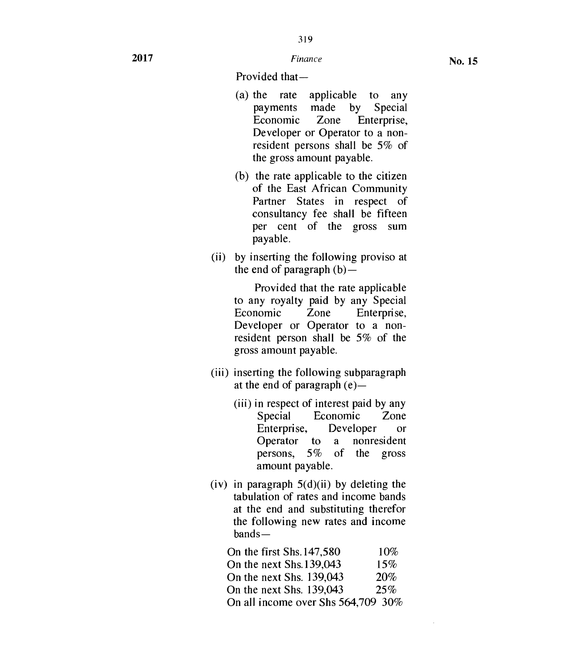Provided that—

- (a) the rate applicable to any payments made by Special Economic Zone Enterprise, Developer or Operator to a nonresident persons shall be 5% of the gross amount payable.
- (b) the rate applicable to the citizen of the East African Community Partner States in respect of consultancy fee shall be fifteen per cent of the gross sum payable.
- (ii) by inserting the following proviso at the end of paragraph  $(b)$ —

Provided that the rate applicable to any royalty paid by any Special Economic Zone Enterprise, Developer or Operator to a nonresident person shall be 5% of the gross amount payable.

- (iii) inserting the following subparagraph at the end of paragraph (e)—
	- (iii) in respect of interest paid by any Special Economic Zone Enterprise, Developer or Operator to a nonresident<br>persons, 5% of the gross of the gross amount payable.
- (iv) in paragraph  $5(d)(ii)$  by deleting the tabulation of rates and income bands at the end and substituting therefor the following new rates and income bands—

| On the first Shs. 147,580          | 10% |
|------------------------------------|-----|
| On the next Shs. 139,043           | 15% |
| On the next Shs. 139,043           | 20% |
| On the next Shs. 139,043           | 25% |
| On all income over Shs 564,709 30% |     |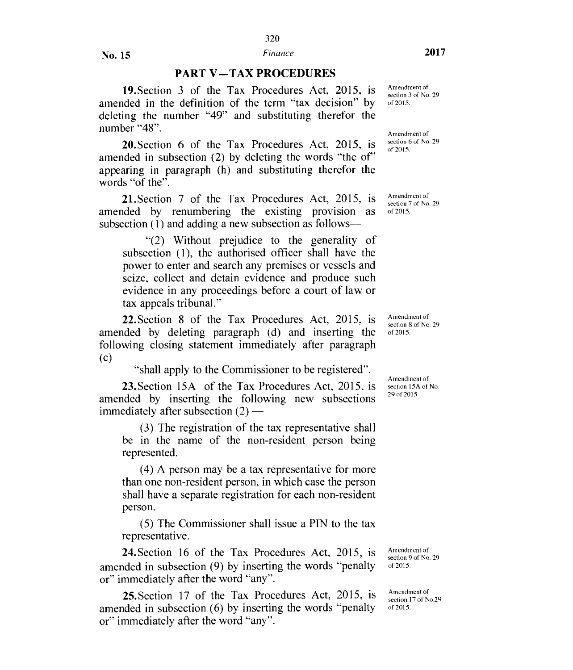#### **PART V—TAX PROCEDURES**

19.Section 3 of the Tax Procedures Act, 2015, is amended in the definition of the term "tax decision" by deleting the number "49" and substituting therefor the number "48".

20.Section 6 of the Tax Procedures Act, 2015, is amended in subsection (2) by deleting the words "the of" appearing in paragraph (h) and substituting therefor the words "of the".

21.Section 7 of the Tax Procedures Act, 2015, is amended by renumbering the existing provision as subsection (1) and adding a new subsection as follows—

"(2) Without prejudice to the generality of subsection (1), the authorised officer shall have the power to enter and search any premises or vessels and seize, collect and detain evidence and produce such evidence in any proceedings before a court of law or tax appeals tribunal."

22.Section 8 of the Tax Procedures Act, 2015, is amended by deleting paragraph (d) and inserting the following closing statement immediately after paragraph  $(c)$  —

"shall apply to the Commissioner to be registered".

23.Section 15A of the Tax Procedures Act, 2015, is amended by inserting the following new subsections immediately after subsection (2) —

(3) The registration of the tax representative shall be in the name of the non-resident person being represented.

(4) A person may be a tax representative for more than one non-resident person, in which case the person shall have a separate registration for each non-resident person.

(5) The Commissioner shall issue a PIN to the tax representative.

24.Section 16 of the Tax Procedures Act, 2015, is amended in subsection (9) by inserting the words "penalty or" immediately after the word "any".

25.Section 17 of the Tax Procedures Act, 2015, is amended in subsection (6) by inserting the words "penalty or" immediately after the word "any".

Amendment of section 3 of No. 29 of 2015.

Amendment of section 6 of No. 29 of 2015.

Amendment of section 7 of No. 29 of 2015.

Amendment of section 8 of No. 29 of 2015.

Amendment of section 15A of No. 29 of 2015.

Amendment of section 9 of No. 29 of 2015.

Amendment of section 17 of No.29 of 2015.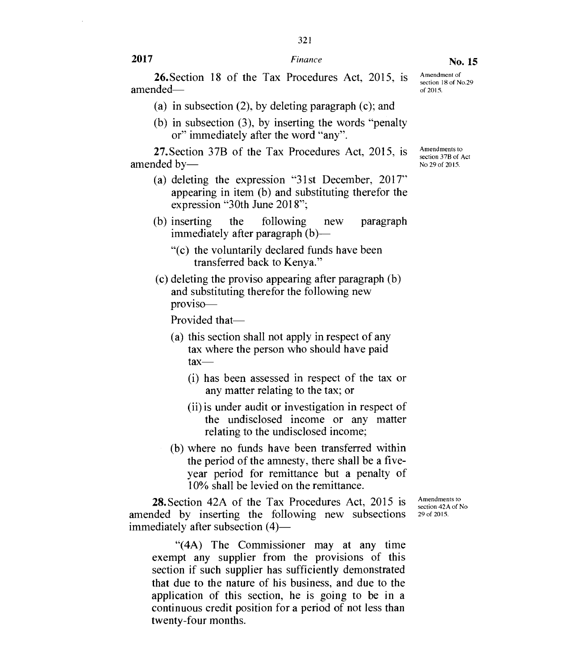321

26.Section 18 of the Tax Procedures Act, 2015, is amended—

- (a) in subsection (2), by deleting paragraph (c); and
- (b) in subsection (3), by inserting the words "penalty or" immediately after the word "any".

27.Section 37B of the Tax Procedures Act, 2015, is amended by—

- (a) deleting the expression "31st December, 2017" appearing in item (b) and substituting therefor the expression "30th June 2018";
- (b) inserting the following new paragraph immediately after paragraph (b)—
	- "(c) the voluntarily declared funds have been transferred back to Kenya."
- (c) deleting the proviso appearing after paragraph (b) and substituting therefor the following new proviso—

Provided that—

- (a) this section shall not apply in respect of any tax where the person who should have paid  $\text{tax}$ 
	- (i) has been assessed in respect of the tax or any matter relating to the tax; or
	- (ii) is under audit or investigation in respect of the undisclosed income or any matter relating to the undisclosed income;
- (b) where no funds have been transferred within the period of the amnesty, there shall be a fiveyear period for remittance but a penalty of 10% shall be levied on the remittance.

28.Section 42A of the Tax Procedures Act, 2015 is amended by inserting the following new subsections immediately after subsection  $(4)$ —

Amendments to section 42A of No 29 of 2015.

"(4A) The Commissioner may at any time exempt any supplier from the provisions of this section if such supplier has sufficiently demonstrated that due to the nature of his business, and due to the application of this section, he is going to be in a continuous credit position for a period of not less than twenty-four months.

Amendments to section 37B of Act No 29 of 2015.

Amendment of section 18 of No.29 of 2015.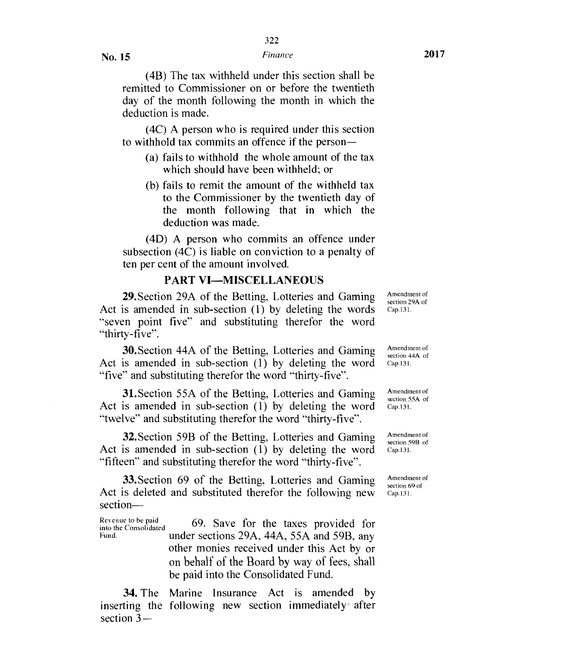(4B) The tax withheld under this section shall be remitted to Commissioner on or before the twentieth day of the month following the month in which the deduction is made.

(4C) A person who is required under this section to withhold tax commits an offence if the person —

- (a) fails to withhold the whole amount of the tax which should have been withheld; or
- (b) fails to remit the amount of the withheld tax to the Commissioner by the twentieth day of the month following that in which the deduction was made.

(4D) A person who commits an offence under subsection (4C) is liable on conviction to a penalty of ten per cent of the amount involved.

#### PART VI—MISCELLANEOUS

29.Section 29A of the Betting, Lotteries and Gaming Act is amended in sub-section (1) by deleting the words "seven point five" and substituting therefor the word "thirty-five".

30.Section 44A of the Betting, Lotteries and Gaming Act is amended in sub-section (1) by deleting the word "five" and substituting therefor the word "thirty-five".

31.Section 55A of the Betting, Lotteries and Gaming Act is amended in sub-section (1) by deleting the word "twelve" and substituting therefor the word "thirty-five".

32.Section 59B of the Betting, Lotteries and Gaming Act is amended in sub-section (1) by deleting the word "fifteen" and substituting therefor the word "thirty-five".

33.Section 69 of the Betting, Lotteries and Gaming Act is deleted and substituted therefor the following new section—

Revenue to be paid 69. Save for the taxes provided for into the Consolidated index sections 29A 44A 55A and 59B any under sections 29A, 44A, 55A and 59B, any other monies received under this Act by or on behalf of the Board by way of fees, shall be paid into the Consolidated Fund.

34. The Marine Insurance Act is amended by inserting the following new section immediately after section 3—

Amendment of section 29A of Cap.131.

Amendment of section 44A of Cap. 13 I.

Amendment of section 55A of Cap.131.

Amendment of section 59B of Cap.131.

Amendment of section 69 of Cap. 131.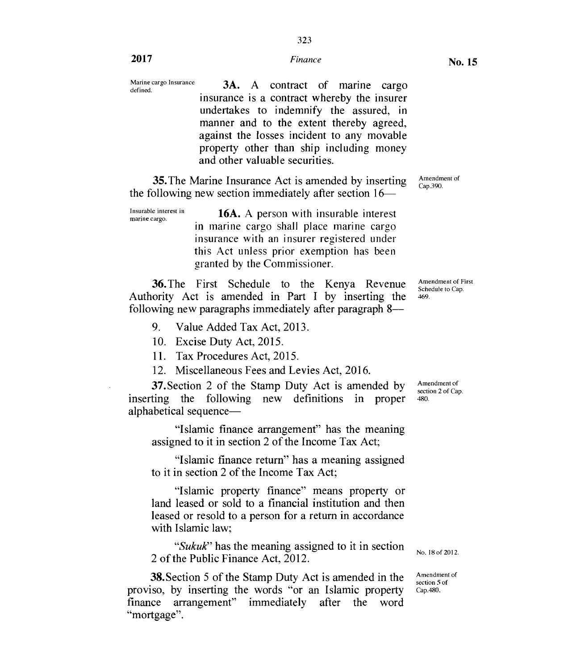## **2017** *Finance* **<b>No. 15**

Marine cargo Insurance Marine cargo Insurance  $3A.$  A contract of marine cargo insurance is a contract whereby the insurer undertakes to indemnify the assured, in manner and to the extent thereby agreed, against the losses incident to any movable property other than ship including money and other valuable securities.

35. The Marine Insurance Act is amended by inserting the following new section immediately after section 16—

16A. A person with insurable interest in marine cargo shall place marine cargo insurance with an insurer registered under this Act unless prior exemption has been granted by the Commissioner. Insurable interest in marine cargo.

**36.** The First Schedule to the Kenya Revenue Authority Act is amended in Part I by inserting the following new paragraphs immediately after paragraph 8-

9. Value Added Tax Act, 2013.

10. Excise Duty Act, 2015.

11. Tax Procedures Act, 2015.

12. Miscellaneous Fees and Levies Act, 2016.

37.Section 2 of the Stamp Duty Act is amended by inserting the following new definitions in proper alphabetical sequence—

"Islamic finance arrangement" has the meaning assigned to it in section 2 of the Income Tax Act;

"Islamic finance return" has a meaning assigned to it in section 2 of the Income Tax Act;

"Islamic property finance" means property or land leased or sold to a financial institution and then leased or resold to a person for a return in accordance with Islamic law;

*"Sukuk"* has the meaning assigned to it in section 2 of the Public Finance Act, 2012.

**38.** Section 5 of the Stamp Duty Act is amended in the proviso, by inserting the words "or an Islamic property finance arrangement" immediately after the word "mortgage".

Amendment of<br>Cap.390.

Amendment of First Schedule to Cap. 469.

Amendment of section 2 of Cap. 480.

No. 18 of 2012.

Amendment of section 5 of Cap.480.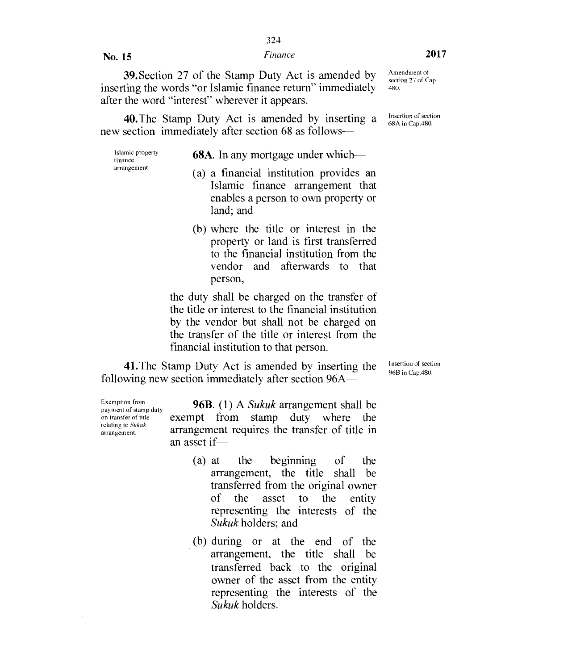39.Section 27 of the Stamp Duty Act is amended by inserting the words "or Islamic finance return" immediately after the word "interest" wherever it appears.

40.The Stamp Duty Act is amended by inserting a new section immediately after section 68 as follows—

Islamic property finance arrangement

**68A.** In any mortgage under which—

- (a) a financial institution provides an Islamic finance arrangement that enables a person to own property or land; and
- (b) where the title or interest in the property or land is first transferred to the financial institution from the vendor and afterwards to that person,

the duty shall be charged on the transfer of the title or interest to the financial institution by the vendor but shall not be charged on the transfer of the title or interest from the financial institution to that person.

41.The Stamp Duty Act is amended by inserting the following new section immediately after section 96A—

Insertion of section 96B in Cap.480.

relating to *Sukuk* 

Exemption from **96B.** (1) A *Sukuk* arrangement shall be payment of stamp duty on transfer of title exempt from stamp duty where the relating to Sukuk arrangement requires the transfer of title in an asset if—

- (a) at the beginning of the arrangement, the title shall be transferred from the original owner of the asset to the entity representing the interests of the *Sukuk* holders; and
- (b) during or at the end of the arrangement, the title shall be transferred back to the original owner of the asset from the entity representing the interests of the *Sukuk* holders.

Amendment of section 27 of Cap 480.

Insertion of section 68A in Cap.480.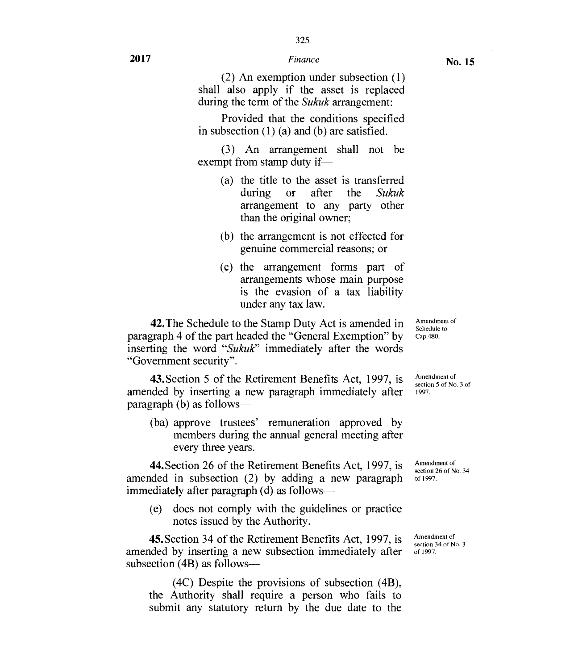(2) An exemption under subsection (1) shall also apply if the asset is replaced during the term of the *Sukuk* arrangement:

Provided that the conditions specified in subsection (1) (a) and (b) are satisfied.

(3) An arrangement shall not be exempt from stamp duty if—

- (a) the title to the asset is transferred during or after the *Sukuk*  arrangement to any party other than the original owner;
- (b) the arrangement is not effected for genuine commercial reasons; or
- (c) the arrangement forms part of arrangements whose main purpose is the evasion of a tax liability under any tax law.

42.The Schedule to the Stamp Duty Act is amended in paragraph 4 of the part headed the "General Exemption" by inserting the word *"Sukuk"* immediately after the words "Government security".

43.Section 5 of the Retirement Benefits Act, 1997, is amended by inserting a new paragraph immediately after  $paragnh (b)$  as follows—

(ba) approve trustees' remuneration approved by members during the annual general meeting after every three years.

44.Section 26 of the Retirement Benefits Act, 1997, is amended in subsection (2) by adding a new paragraph immediately after paragraph (d) as follows—

(e) does not comply with the guidelines or practice notes issued by the Authority.

45.Section 34 of the Retirement Benefits Act, 1997, is amended by inserting a new subsection immediately after subsection (4B) as follows—

(4C) Despite the provisions of subsection (4B), the Authority shall require a person who fails to submit any statutory return by the due date to the

Amendment of Schedule to Cap.480.

Amendment of section 5 of No. 3 of 1997.

Amendment of section 26 of No. 34 of 1997.

Amendment of section 34 of No. 3 of 1997.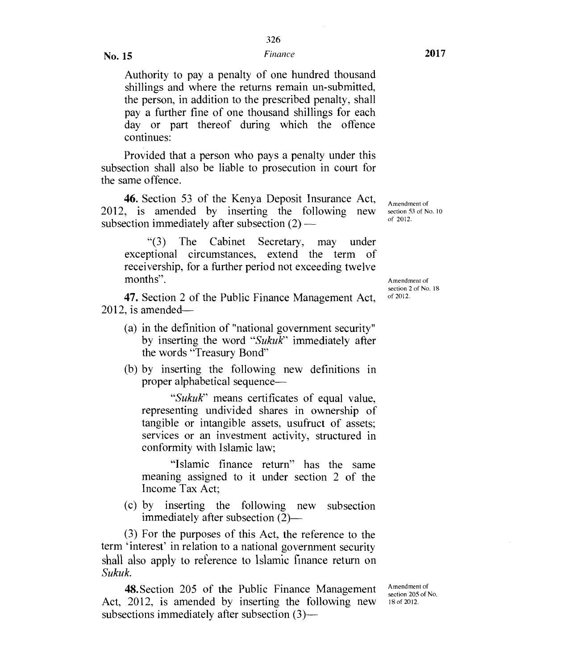Authority to pay a penalty of one hundred thousand shillings and where the returns remain un-submitted, the person, in addition to the prescribed penalty, shall pay a further fine of one thousand shillings for each day or part thereof during which the offence continues:

Provided that a person who pays a penalty under this subsection shall also be liable to prosecution in court for the same offence.

46. Section 53 of the Kenya Deposit Insurance Act, 2012, is amended by inserting the following new subsection immediately after subsection (2) —

"(3) The Cabinet Secretary, may under exceptional circumstances, extend the term of receivership, for a further period not exceeding twelve months". Amendment of

47. Section 2 of the Public Finance Management Act, 2012, is amended—

- (a) in the definition of "national government security" by inserting the word *"Sukuk"* immediately after the words "Treasury Bond"
- (b) by inserting the following new definitions in proper alphabetical sequence-

*"Sukuk"* means certificates of equal value, representing undivided shares in ownership of tangible or intangible assets, usufruct of assets; services or an investment activity, structured in conformity with Islamic law;

"Islamic finance return" has the same meaning assigned to it under section 2 of the Income Tax Act;

(c) by inserting the following new subsection immediately after subsection (2)—

(3) For the purposes of this Act, the reference to the term 'interest' in relation to a national government security shall also apply to reference to Islamic finance return on *Sukuk.* 

48.Section 205 of the Public Finance Management Act, 2012, is amended by inserting the following new subsections immediately after subsection (3)—

Amendment of section 205 of No. 18 of 2012.

Amendment of section 53 of No. 10 of 2012.

section 2 of No.  $18$ <br>of  $2012$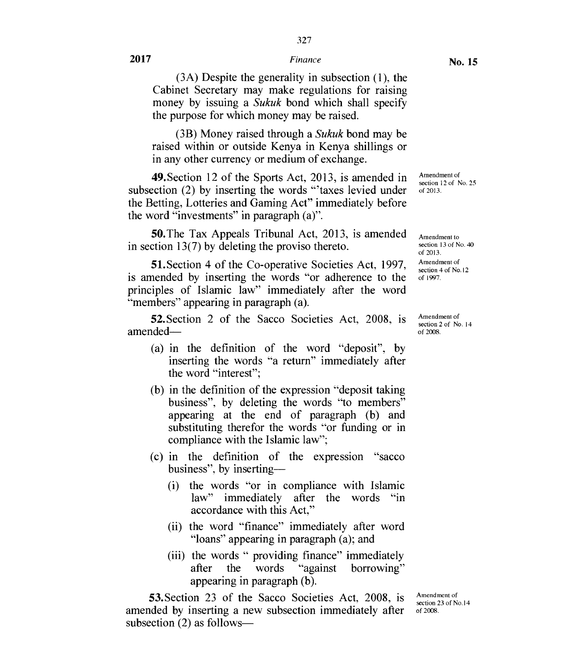327

(3A) Despite the generality in subsection (1), the Cabinet Secretary may make regulations for raising money by issuing a *Sukuk* bond which shall specify the purpose for which money may be raised.

(3B) Money raised through a *Sukuk* bond may be raised within or outside Kenya in Kenya shillings or in any other currency or medium of exchange.

49.Section 12 of the Sports Act, 2013, is amended in subsection (2) by inserting the words "'taxes levied under the Betting, Lotteries and Gaming Act" immediately before the word "investments" in paragraph (a)".

50.The Tax Appeals Tribunal Act, 2013, is amended in section 13(7) by deleting the proviso thereto.

51.Section 4 of the Co-operative Societies Act, 1997, is amended by inserting the words "or adherence to the principles of Islamic law" immediately after the word "members" appearing in paragraph (a).

52.Section 2 of the Sacco Societies Act, 2008, is amended—

- (a) in the definition of the word "deposit", by inserting the words "a return" immediately after the word "interest";
- (b) in the definition of the expression "deposit taking business", by deleting the words "to members" appearing at the end of paragraph (b) and substituting therefor the words "or funding or in compliance with the Islamic law";
- (c) in the definition of the expression "sacco business", by inserting-
	- (i) the words "or in compliance with Islamic law" immediately after the words "in accordance with this Act,"
	- (ii) the word "finance" immediately after word "loans" appearing in paragraph (a); and
	- (iii) the words " providing finance" immediately<br>after the words "against borrowing" after the words "against borrowing" appearing in paragraph (b).

53.Section 23 of the Sacco Societies Act, 2008, is amended by inserting a new subsection immediately after subsection (2) as follows—

Amendment of section 23 of No.14 of 2008.

section 12 of No. 25 of 2013.

Amendment of

Amendment to section 13 of No. 40 of 2013. Amendment of section 4 of No.12 of 1997.

Amendment of section 2 of No. 14 of 2008.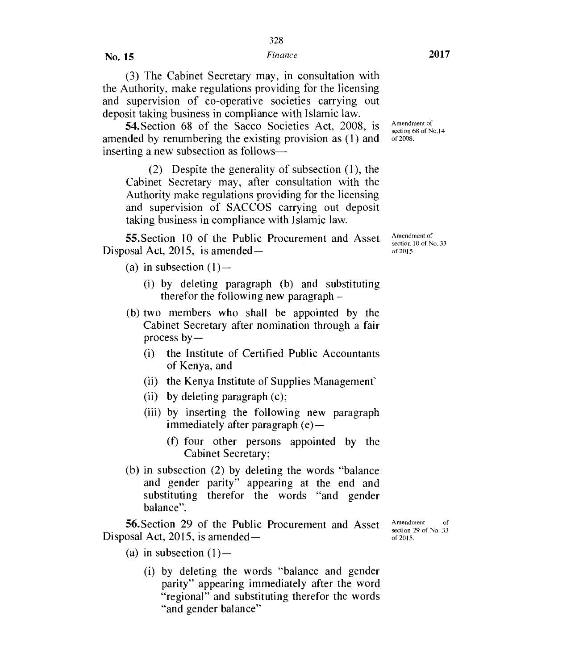(3) The Cabinet Secretary may, in consultation with the Authority, make regulations providing for the licensing and supervision of co-operative societies carrying out deposit taking business in compliance with Islamic law.

54.Section 68 of the Sacco Societies Act, 2008, is amended by renumbering the existing provision as (1) and inserting a new subsection as follows—

(2) Despite the generality of subsection (1), the Cabinet Secretary may, after consultation with the Authority make regulations providing for the licensing and supervision of SACCOS carrying out deposit taking business in compliance with Islamic law.

55.Section 10 of the Public Procurement and Asset Disposal Act, 2015, is amended —

(a) in subsection  $(1)$ —

- (i) by deleting paragraph (b) and substituting therefor the following new paragraph –
- (b) two members who shall be appointed by the Cabinet Secretary after nomination through a fair process  $by-$ 
	- (i) the Institute of Certified Public Accountants of Kenya, and
	- (ii) the Kenya Institute of Supplies Management'
	- (ii) by deleting paragraph (c);
	- (iii) by inserting the following new paragraph immediately after paragraph (e)—
		- (f) four other persons appointed by the Cabinet Secretary;
- (b) in subsection (2) by deleting the words "balance and gender parity" appearing at the end and substituting therefor the words "and gender balance".

56.Section 29 of the Public Procurement and Asset Disposal Act, 2015, is amended —

Amendment of section 29 of No. 33 of 2015.

- (a) in subsection  $(1)$ 
	- (i) by deleting the words "balance and gender parity" appearing immediately after the word "regional" and substituting therefor the words "and gender balance"

Amendment of section 68 of No.14 of 2008.

Amendment of section 10 of No. 33 of 2015.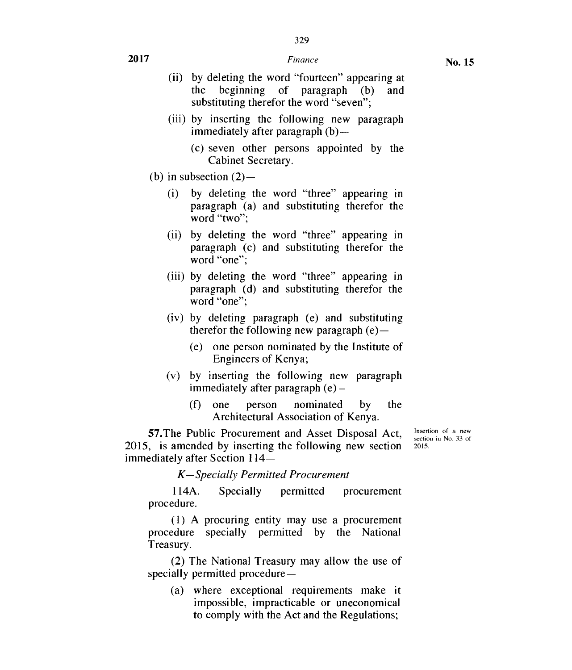No. **15** 

**2017** *Finance* 

#### (ii) by deleting the word "fourteen" appearing at the beginning of paragraph (b) and substituting therefor the word "seven";

- (iii) by inserting the following new paragraph immediately after paragraph (b)—
	- (c) seven other persons appointed by the Cabinet Secretary.
- (b) in subsection  $(2)$ 
	- (i) by deleting the word "three" appearing in paragraph (a) and substituting therefor the word "two";
	- (ii) by deleting the word "three" appearing in paragraph (c) and substituting therefor the word "one";
	- (iii) by deleting the word "three" appearing in paragraph (d) and substituting therefor the word "one":
	- (iv) by deleting paragraph (e) and substituting therefor the following new paragraph  $(e)$ —
		- (e) one person nominated by the Institute of Engineers of Kenya;
	- (v) by inserting the following new paragraph immediately after paragraph (e) —
		- (f) one person nominated by the Architectural Association of Kenya.

57.The Public Procurement and Asset Disposal Act, 2015, is amended by inserting the following new section immediately after Section 114–

Insertion of a new section in No. 33 of 2015.

*K—Specially Permitted Procurement* 

114A. Specially permitted procurement procedure.

(1) A procuring entity may use a procurement procedure specially permitted by the National Treasury.

(2) The National Treasury may allow the use of specially permitted procedure —

(a) where exceptional requirements make it impossible, impracticable or uneconomical to comply with the Act and the Regulations;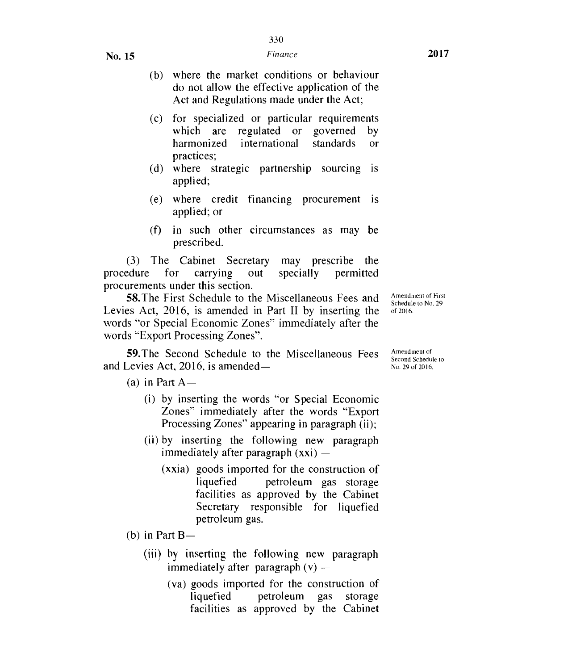- (c) for specialized or particular requirements which are regulated or governed by harmonized international standards or practices;
- (d) where strategic partnership sourcing is applied;
- (e) where credit financing procurement is applied; or
- (f) in such other circumstances as may be prescribed.

(3) The Cabinet Secretary may prescribe the procedure for carrying out specially permitted procurements under this section.

58.The First Schedule to the Miscellaneous Fees and Levies Act, 2016, is amended in Part II by inserting the words "or Special Economic Zones" immediately after the words "Export Processing Zones".

59.The Second Schedule to the Miscellaneous Fees and Levies Act, 2016, is amended—

(a) in Part  $A -$ 

- (i) by inserting the words "or Special Economic Zones" immediately after the words "Export Processing Zones" appearing in paragraph (ii);
- (ii) by inserting the following new paragraph immediately after paragraph (xxi) —
	- (xxia) goods imported for the construction of liquefied petroleum gas storage facilities as approved by the Cabinet Secretary responsible for liquefied petroleum gas.

(b) in Part  $B$ —

- (iii) by inserting the following new paragraph immediately after paragraph  $(v)$  —
	- (va) goods imported for the construction of liquefied petroleum gas storage facilities as approved by the Cabinet

Amendment of First Schedule to No. 29 of 2016.

Amendment of Second Schedule to No. 29 of 2016.